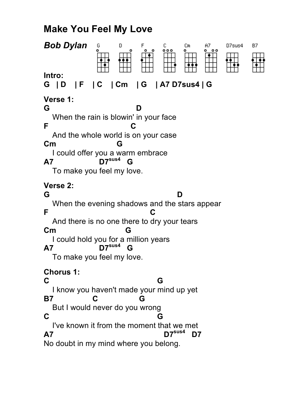## **Make You Feel My Love**

| <b>Bob Dylan</b><br>G<br>D<br>Β7<br>F<br>с<br>Сm<br>A7<br>D7sus4<br><b>。。</b><br>$^{\circ}$<br>۰                                                                                                                                                                      |
|-----------------------------------------------------------------------------------------------------------------------------------------------------------------------------------------------------------------------------------------------------------------------|
| Intro:<br>$ F $ $ C $<br>  Cm   G   A7 D7sus4   G<br>G   D                                                                                                                                                                                                            |
| Verse 1:<br>G<br>When the rain is blowin' in your face<br>F<br>C<br>And the whole world is on your case<br>$\mathsf{C}$ m<br>G<br>I could offer you a warm embrace<br>$D7^{sus4}$<br>A7<br>G<br>To make you feel my love.                                             |
| Verse 2:<br>G<br>D<br>When the evening shadows and the stars appear<br>F<br>And there is no one there to dry your tears<br>$\mathsf{Cm}$<br>G<br>I could hold you for a million years<br>דס $\mathsf{Z}^\mathsf{sus4}$<br><b>A7</b><br>G<br>To make you feel my love. |
| <b>Chorus 1:</b><br>C<br>G<br>I know you haven't made your mind up yet<br>C<br><b>B7</b><br>G<br>But I would never do you wrong<br>C<br>G<br>I've known it from the moment that we met<br>$D7^{sus4}$<br>D7<br>A7<br>No doubt in my mind where you belong.            |